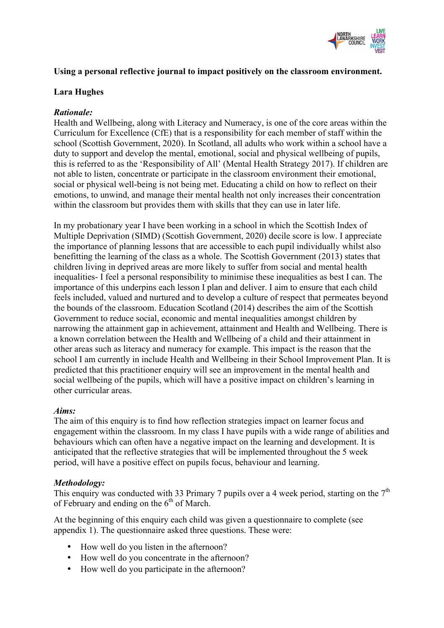

#### **Using a personal reflective journal to impact positively on the classroom environment.**

#### **Lara Hughes**

#### *Rationale:*

Health and Wellbeing, along with Literacy and Numeracy, is one of the core areas within the Curriculum for Excellence (CfE) that is a responsibility for each member of staff within the school (Scottish Government, 2020). In Scotland, all adults who work within a school have a duty to support and develop the mental, emotional, social and physical wellbeing of pupils, this is referred to as the 'Responsibility of All' (Mental Health Strategy 2017). If children are not able to listen, concentrate or participate in the classroom environment their emotional, social or physical well-being is not being met. Educating a child on how to reflect on their emotions, to unwind, and manage their mental health not only increases their concentration within the classroom but provides them with skills that they can use in later life.

In my probationary year I have been working in a school in which the Scottish Index of Multiple Deprivation (SIMD) (Scottish Government, 2020) decile score is low. I appreciate the importance of planning lessons that are accessible to each pupil individually whilst also benefitting the learning of the class as a whole. The Scottish Government (2013) states that children living in deprived areas are more likely to suffer from social and mental health inequalities- I feel a personal responsibility to minimise these inequalities as best I can. The importance of this underpins each lesson I plan and deliver. I aim to ensure that each child feels included, valued and nurtured and to develop a culture of respect that permeates beyond the bounds of the classroom. Education Scotland (2014) describes the aim of the Scottish Government to reduce social, economic and mental inequalities amongst children by narrowing the attainment gap in achievement, attainment and Health and Wellbeing. There is a known correlation between the Health and Wellbeing of a child and their attainment in other areas such as literacy and numeracy for example. This impact is the reason that the school I am currently in include Health and Wellbeing in their School Improvement Plan. It is predicted that this practitioner enquiry will see an improvement in the mental health and social wellbeing of the pupils, which will have a positive impact on children's learning in other curricular areas.

#### *Aims:*

The aim of this enquiry is to find how reflection strategies impact on learner focus and engagement within the classroom. In my class I have pupils with a wide range of abilities and behaviours which can often have a negative impact on the learning and development. It is anticipated that the reflective strategies that will be implemented throughout the 5 week period, will have a positive effect on pupils focus, behaviour and learning.

### *Methodology:*

This enquiry was conducted with 33 Primary 7 pupils over a 4 week period, starting on the  $7<sup>th</sup>$ of February and ending on the  $6<sup>th</sup>$  of March.

At the beginning of this enquiry each child was given a questionnaire to complete (see appendix 1). The questionnaire asked three questions. These were:

- How well do you listen in the afternoon?
- How well do you concentrate in the afternoon?
- How well do you participate in the afternoon?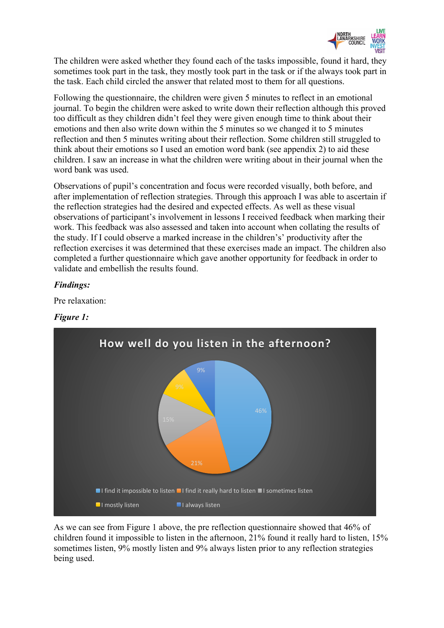

The children were asked whether they found each of the tasks impossible, found it hard, they sometimes took part in the task, they mostly took part in the task or if the always took part in the task. Each child circled the answer that related most to them for all questions.

Following the questionnaire, the children were given 5 minutes to reflect in an emotional journal. To begin the children were asked to write down their reflection although this proved too difficult as they children didn't feel they were given enough time to think about their emotions and then also write down within the 5 minutes so we changed it to 5 minutes reflection and then 5 minutes writing about their reflection. Some children still struggled to think about their emotions so I used an emotion word bank (see appendix 2) to aid these children. I saw an increase in what the children were writing about in their journal when the word bank was used.

Observations of pupil's concentration and focus were recorded visually, both before, and after implementation of reflection strategies. Through this approach I was able to ascertain if the reflection strategies had the desired and expected effects. As well as these visual observations of participant's involvement in lessons I received feedback when marking their work. This feedback was also assessed and taken into account when collating the results of the study. If I could observe a marked increase in the children's' productivity after the reflection exercises it was determined that these exercises made an impact. The children also completed a further questionnaire which gave another opportunity for feedback in order to validate and embellish the results found.

### *Findings:*

Pre relaxation:

### *Figure 1:*



As we can see from Figure 1 above, the pre reflection questionnaire showed that 46% of children found it impossible to listen in the afternoon, 21% found it really hard to listen, 15% sometimes listen, 9% mostly listen and 9% always listen prior to any reflection strategies being used.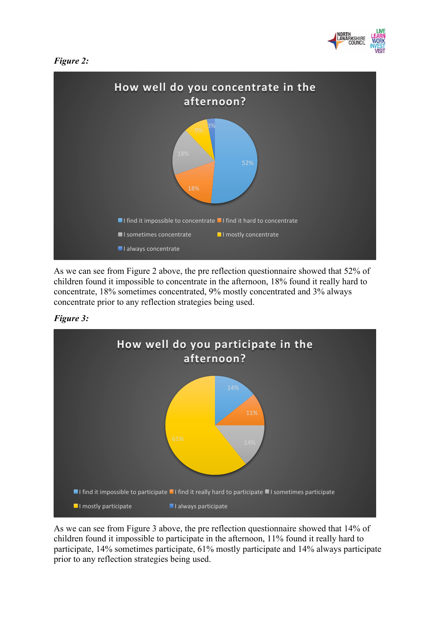





As we can see from Figure 2 above, the pre reflection questionnaire showed that 52% of children found it impossible to concentrate in the afternoon, 18% found it really hard to concentrate, 18% sometimes concentrated, 9% mostly concentrated and 3% always concentrate prior to any reflection strategies being used.





As we can see from Figure 3 above, the pre reflection questionnaire showed that 14% of children found it impossible to participate in the afternoon, 11% found it really hard to participate, 14% sometimes participate, 61% mostly participate and 14% always participate prior to any reflection strategies being used.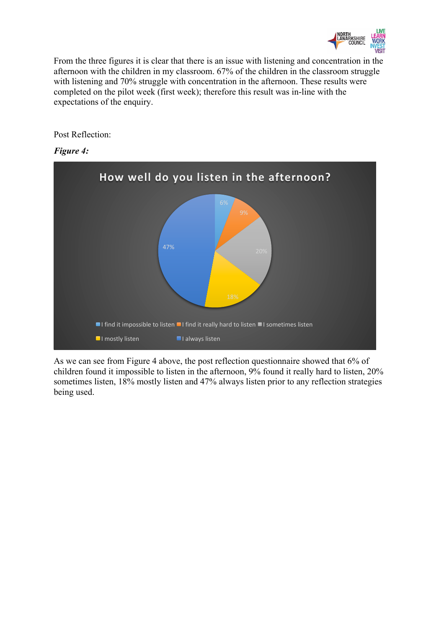

From the three figures it is clear that there is an issue with listening and concentration in the afternoon with the children in my classroom. 67% of the children in the classroom struggle with listening and 70% struggle with concentration in the afternoon. These results were completed on the pilot week (first week); therefore this result was in-line with the expectations of the enquiry.

Post Reflection:

#### *Figure 4:*



As we can see from Figure 4 above, the post reflection questionnaire showed that 6% of children found it impossible to listen in the afternoon, 9% found it really hard to listen, 20% sometimes listen, 18% mostly listen and 47% always listen prior to any reflection strategies being used.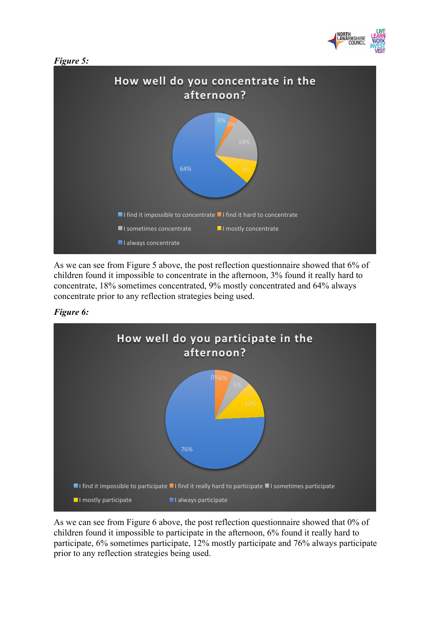





As we can see from Figure 5 above, the post reflection questionnaire showed that 6% of children found it impossible to concentrate in the afternoon, 3% found it really hard to concentrate, 18% sometimes concentrated, 9% mostly concentrated and 64% always concentrate prior to any reflection strategies being used.





As we can see from Figure 6 above, the post reflection questionnaire showed that 0% of children found it impossible to participate in the afternoon, 6% found it really hard to participate, 6% sometimes participate, 12% mostly participate and 76% always participate prior to any reflection strategies being used.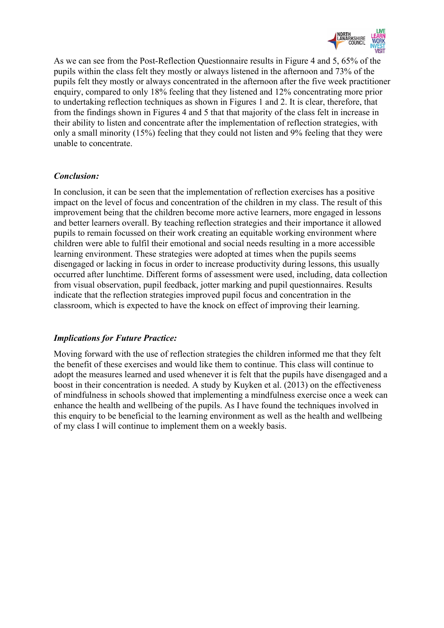

As we can see from the Post-Reflection Questionnaire results in Figure 4 and 5, 65% of the pupils within the class felt they mostly or always listened in the afternoon and 73% of the pupils felt they mostly or always concentrated in the afternoon after the five week practitioner enquiry, compared to only 18% feeling that they listened and 12% concentrating more prior to undertaking reflection techniques as shown in Figures 1 and 2. It is clear, therefore, that from the findings shown in Figures 4 and 5 that that majority of the class felt in increase in their ability to listen and concentrate after the implementation of reflection strategies, with only a small minority (15%) feeling that they could not listen and 9% feeling that they were unable to concentrate.

#### *Conclusion:*

In conclusion, it can be seen that the implementation of reflection exercises has a positive impact on the level of focus and concentration of the children in my class. The result of this improvement being that the children become more active learners, more engaged in lessons and better learners overall. By teaching reflection strategies and their importance it allowed pupils to remain focussed on their work creating an equitable working environment where children were able to fulfil their emotional and social needs resulting in a more accessible learning environment. These strategies were adopted at times when the pupils seems disengaged or lacking in focus in order to increase productivity during lessons, this usually occurred after lunchtime. Different forms of assessment were used, including, data collection from visual observation, pupil feedback, jotter marking and pupil questionnaires. Results indicate that the reflection strategies improved pupil focus and concentration in the classroom, which is expected to have the knock on effect of improving their learning.

### *Implications for Future Practice:*

Moving forward with the use of reflection strategies the children informed me that they felt the benefit of these exercises and would like them to continue. This class will continue to adopt the measures learned and used whenever it is felt that the pupils have disengaged and a boost in their concentration is needed. A study by Kuyken et al. (2013) on the effectiveness of mindfulness in schools showed that implementing a mindfulness exercise once a week can enhance the health and wellbeing of the pupils. As I have found the techniques involved in this enquiry to be beneficial to the learning environment as well as the health and wellbeing of my class I will continue to implement them on a weekly basis.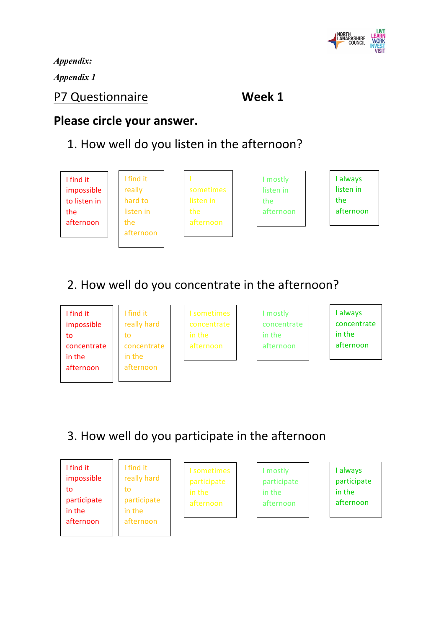

*Appendix: Appendix 1* 

### P7 Questionnaire **Week 1**

### Please circle your answer.

## 1. How well do you listen in the afternoon?

I find it impossible to listen in the afternoon

I find it really hard to listen in the afternoon



I mostly listen in the afternoon I always listen in the afternoon

# 2. How well do you concentrate in the afternoon?

I find it impossible to concentrate in the afternoon

I find it really hard to concentrate in the afternoon

I sometimes concentrate in the afternoon

I mostly concentrate in the afternoon

I always concentrate in the afternoon

# 3. How well do you participate in the afternoon

| I find it<br>impossible<br>to<br>participate<br>in the<br>afternoon | I find it<br>really hard<br>to<br>participate<br>in the<br>afternoon | I sometimes<br>participate<br>in the<br>afternoon | mostly<br>participate<br>in the<br>afternoon | always<br>participate<br>in the<br>afternoon |
|---------------------------------------------------------------------|----------------------------------------------------------------------|---------------------------------------------------|----------------------------------------------|----------------------------------------------|
|---------------------------------------------------------------------|----------------------------------------------------------------------|---------------------------------------------------|----------------------------------------------|----------------------------------------------|